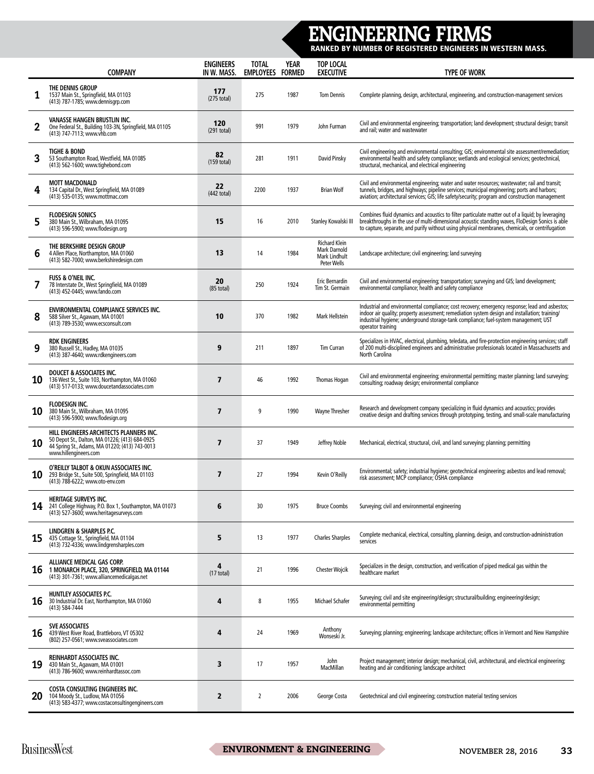## ENGINEERING FIRMS

RANKED BY NUMBER OF REGISTERED ENGINEERS IN WESTERN MASS.

|    | <b>COMPANY</b>                                                                                                                                                       | <b>ENGINEERS</b><br>IN W. MASS. | <b>TOTAL</b><br><b>EMPLOYEES</b> | <b>YEAR</b><br><b>FORMED</b> | <b>TOP LOCAL</b><br><b>EXECUTIVE</b>                                               | <b>TYPE OF WORK</b>                                                                                                                                                                                                                                                                                           |
|----|----------------------------------------------------------------------------------------------------------------------------------------------------------------------|---------------------------------|----------------------------------|------------------------------|------------------------------------------------------------------------------------|---------------------------------------------------------------------------------------------------------------------------------------------------------------------------------------------------------------------------------------------------------------------------------------------------------------|
| 1  | THE DENNIS GROUP<br>1537 Main St., Springfield, MA 01103<br>(413) 787-1785; www.dennisgrp.com                                                                        | 177<br>$(275$ total)            | 275                              | 1987                         | <b>Tom Dennis</b>                                                                  | Complete planning, design, architectural, engineering, and construction-management services                                                                                                                                                                                                                   |
| 2  | <b>VANASSE HANGEN BRUSTLIN INC.</b><br>One Federal St., Building 103-3N, Springfield, MA 01105<br>(413) 747-7113; www.vhb.com                                        | 120<br>$(291$ total)            | 991                              | 1979                         | John Furman                                                                        | Civil and environmental engineering; transportation; land development; structural design; transit<br>and rail; water and wastewater                                                                                                                                                                           |
| 3  | <b>TIGHE &amp; BOND</b><br>53 Southampton Road, Westfield, MA 01085<br>(413) 562-1600; www.tighebond.com                                                             | 82<br>$(159$ total)             | 281                              | 1911                         | David Pinsky                                                                       | Civil engineering and environmental consulting; GIS; environmental site assessment/remediation;<br>environmental health and safety compliance; wetlands and ecological services; geotechnical,<br>structural, mechanical, and electrical engineering                                                          |
| 4  | <b>MOTT MACDONALD</b><br>134 Capital Dr., West Springfield, MA 01089<br>(413) 535-0135; www.mottmac.com                                                              | 22<br>$(442$ total)             | 2200                             | 1937                         | <b>Brian Wolf</b>                                                                  | Civil and environmental engineering; water and water resources; wastewater; rail and transit;<br>tunnels, bridges, and highways; pipeline services; municipal engineering; ports and harbors;<br>aviation; architectural services; GIS; life safety/security; program and construction management             |
| 5  | <b>FLODESIGN SONICS</b><br>380 Main St., Wilbraham, MA 01095<br>(413) 596-5900; www.flodesign.org                                                                    | 15                              | 16                               | 2010                         | Stanley Kowalski III                                                               | Combines fluid dynamics and acoustics to filter particulate matter out of a liquid; by leveraging<br>breakthroughs in the use of multi-dimensional acoustic standing waves, FloDesign Sonics is able<br>to capture, separate, and purify without using physical membranes, chemicals, or centrifugation       |
| 6  | THE BERKSHIRE DESIGN GROUP<br>4 Allen Place, Northampton, MA 01060<br>(413) 582-7000; www.berkshiredesign.com                                                        | 13                              | 14                               | 1984                         | <b>Richard Klein</b><br><b>Mark Darnold</b><br><b>Mark Lindhult</b><br>Peter Wells | Landscape architecture; civil engineering; land surveying                                                                                                                                                                                                                                                     |
| 7  | <b>FUSS &amp; O'NEIL INC.</b><br>78 Interstate Dr., West Springfield, MA 01089<br>(413) 452-0445; www.fando.com                                                      | 20<br>$(85$ total)              | 250                              | 1924                         | Eric Bernardin<br>Tim St. Germain                                                  | Civil and environmental engineering; transportation; surveying and GIS; land development;<br>environmental compliance; health and safety compliance                                                                                                                                                           |
| 8  | ENVIRONMENTAL COMPLIANCE SERVICES INC.<br>588 Silver St., Agawam, MA 01001<br>(413) 789-3530; www.ecsconsult.com                                                     | 10                              | 370                              | 1982                         | Mark Hellstein                                                                     | Industrial and environmental compliance; cost recovery; emergency response; lead and asbestos;<br>indoor air quality; property assessment; remediation system design and installation; training/<br>industrial hygiene; underground storage-tank compliance; fuel-system management; UST<br>operator training |
| 9  | <b>RDK ENGINEERS</b><br>380 Russell St., Hadley, MA 01035<br>(413) 387-4640; www.rdkengineers.com                                                                    | 9                               | 211                              | 1897                         | Tim Curran                                                                         | Specializes in HVAC, electrical, plumbing, teledata, and fire-protection engineering services; staff<br>of 200 multi-disciplined engineers and administrative professionals located in Massachusetts and<br>North Carolina                                                                                    |
| 10 | <b>DOUCET &amp; ASSOCIATES INC.</b><br>136 West St., Suite 103, Northampton, MA 01060<br>(413) 517-0133; www.doucetandassociates.com                                 | 7                               | 46                               | 1992                         | Thomas Hogan                                                                       | Civil and environmental engineering; environmental permitting; master planning; land surveying;<br>consulting; roadway design; environmental compliance                                                                                                                                                       |
| 10 | FLODESIGN INC.<br>380 Main St., Wilbraham, MA 01095<br>(413) 596-5900; www.flodesign.org                                                                             | 7                               | 9                                | 1990                         | <b>Wayne Thresher</b>                                                              | Research and development company specializing in fluid dynamics and acoustics; provides<br>creative design and drafting services through prototyping, testing, and small-scale manufacturing                                                                                                                  |
| 10 | HILL ENGINEERS ARCHITECTS PLANNERS INC.<br>50 Depot St., Dalton, MA 01226; (413) 684-0925<br>44 Spring St., Adams, MA 01220; (413) 743-0013<br>www.hillengineers.com | 7                               | 37                               | 1949                         | Jeffrey Noble                                                                      | Mechanical, electrical, structural, civil, and land surveying; planning; permitting                                                                                                                                                                                                                           |
| 10 | O'REILLY TALBOT & OKUN ASSOCIATES INC.<br>293 Bridge St., Suite 500, Springfield, MA 01103<br>(413) 788-6222; www.oto-env.com                                        | 7                               | 27                               | 1994                         | Kevin O'Reilly                                                                     | Environmental; safety; industrial hygiene; geotechnical engineering; asbestos and lead removal;<br>risk assessment; MCP compliance; OSHA compliance                                                                                                                                                           |
| 14 | <b>HERITAGE SURVEYS INC.</b><br>241 College Highway, P.O. Box 1, Southampton, MA 01073<br>(413) 527-3600; www.heritagesurveys.com                                    | 6                               | 30                               | 1975                         | <b>Bruce Coombs</b>                                                                | Surveying; civil and environmental engineering                                                                                                                                                                                                                                                                |
| 15 | LINDGREN & SHARPLES P.C.<br>435 Cottage St., Springfield, MA 01104<br>(413) 732-4336; www.lindgrensharples.com                                                       | 5                               | 13                               | 1977                         | <b>Charles Sharples</b>                                                            | Complete mechanical, electrical, consulting, planning, design, and construction-administration<br>services                                                                                                                                                                                                    |
| 16 | ALLIANCE MEDICAL GAS CORP.<br>1 MONARCH PLACE, 320, SPRINGFIELD, MA 01144<br>(413) 301-7361; www.alliancemedicalgas.net                                              | 4<br>$(17 \text{ total})$       | 21                               | 1996                         | Chester Wojcik                                                                     | Specializes in the design, construction, and verification of piped medical gas within the<br>healthcare market                                                                                                                                                                                                |
| 16 | HUNTLEY ASSOCIATES P.C.<br>30 Industrial Dr. East, Northampton, MA 01060<br>(413) 584-7444                                                                           | 4                               | 8                                | 1955                         | <b>Michael Schafer</b>                                                             | Surveying; civil and site engineering/design; structural/building; engineering/design;<br>environmental permitting                                                                                                                                                                                            |
| 16 | <b>SVE ASSOCIATES</b><br>439 West River Road, Brattleboro, VT 05302<br>(802) 257-0561; www.sveassociates.com                                                         | 4                               | 24                               | 1969                         | Anthony<br>Wonseski Jr.                                                            | Surveying; planning; engineering; landscape architecture; offices in Vermont and New Hampshire                                                                                                                                                                                                                |
| 19 | <b>REINHARDT ASSOCIATES INC.</b><br>430 Main St., Agawam, MA 01001<br>(413) 786-9600; www.reinhardtassoc.com                                                         | 3                               | 17                               | 1957                         | John<br>MacMillan                                                                  | Project management; interior design; mechanical, civil, architectural, and electrical engineering;<br>heating and air conditioning; landscape architect                                                                                                                                                       |
| 20 | <b>COSTA CONSULTING ENGINEERS INC.</b><br>104 Moody St., Ludlow, MA 01056<br>(413) 583-4377; www.costaconsultingengineers.com                                        | $\overline{2}$                  | $\overline{2}$                   | 2006                         | George Costa                                                                       | Geotechnical and civil engineering; construction material testing services                                                                                                                                                                                                                                    |